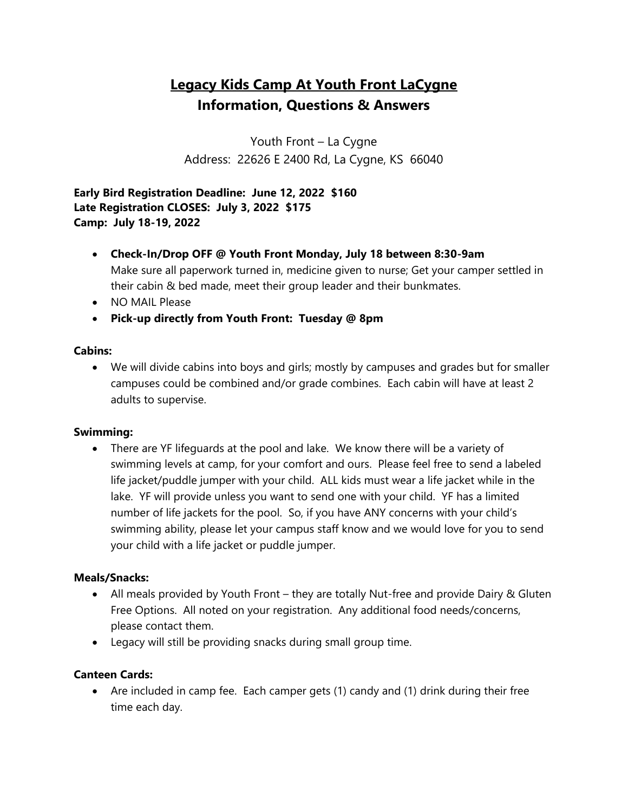# **Legacy Kids Camp At Youth Front LaCygne Information, Questions & Answers**

Youth Front – La Cygne Address: 22626 E 2400 Rd, La Cygne, KS 66040

**Early Bird Registration Deadline: June 12, 2022 \$160 Late Registration CLOSES: July 3, 2022 \$175 Camp: July 18-19, 2022**

- **Check-In/Drop OFF @ Youth Front Monday, July 18 between 8:30-9am**  Make sure all paperwork turned in, medicine given to nurse; Get your camper settled in their cabin & bed made, meet their group leader and their bunkmates.
- NO MAIL Please
- **Pick-up directly from Youth Front: Tuesday @ 8pm**

### **Cabins:**

• We will divide cabins into boys and girls; mostly by campuses and grades but for smaller campuses could be combined and/or grade combines. Each cabin will have at least 2 adults to supervise.

### **Swimming:**

• There are YF lifeguards at the pool and lake. We know there will be a variety of swimming levels at camp, for your comfort and ours. Please feel free to send a labeled life jacket/puddle jumper with your child. ALL kids must wear a life jacket while in the lake. YF will provide unless you want to send one with your child. YF has a limited number of life jackets for the pool. So, if you have ANY concerns with your child's swimming ability, please let your campus staff know and we would love for you to send your child with a life jacket or puddle jumper.

### **Meals/Snacks:**

- All meals provided by Youth Front they are totally Nut-free and provide Dairy & Gluten Free Options. All noted on your registration. Any additional food needs/concerns, please contact them.
- Legacy will still be providing snacks during small group time.

### **Canteen Cards:**

• Are included in camp fee. Each camper gets (1) candy and (1) drink during their free time each day.